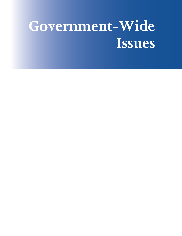# **Government-Wide Issues**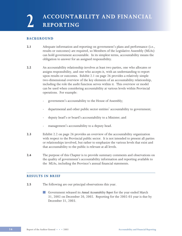# **BACKGROUND**

- **2.1** Adequate information and reporting on government's plans and performance (i.e., results or outcomes) are required, so Members of the Legislative Assembly (MLAs) can hold government accountable. In its simplest terms, accountability means the obligation to answer for an assigned responsibility.
- **2.2** An accountability relationship involves at least two parties, one who allocates or assigns responsibility, and one who accepts it, with an understanding to report upon results or outcomes. Exhibit 2.1 on page 26 provides a relatively simple two-dimensional overview of the key elements of an accountability relationship, including the role the audit function serves within it. This overview or model can be used when considering accountability at various levels within Provincial operations. For example:
	- government's accountability to the House of Assembly;
	- departmental and other public sector entities' accountability to government;
	- deputy head's or board's accountability to a Minister; and
	- management's accountability to a deputy head.
- **2.3** Exhibit 2.2 on page 26 provides an overview of the accountability organization with respect to the Provincial public sector. It is not intended to present all parties or relationships involved, but rather to emphasize the various levels that exist and that accountability to the public is relevant at all levels.
- **2.4** The purpose of this Chapter is to provide summary comments and observations on the quality of government's accountability information and reporting available to the MLAs, including the Province's annual financial statements.

## **RESULTS IN BRIEF**

- **2.5** The following are our principal observations this year.
	- Government released its *Annual Accountability Report* for the year ended March 31, 2002 on December 20, 2002. Reporting for the 2002-03 year is due by December 31, 2003.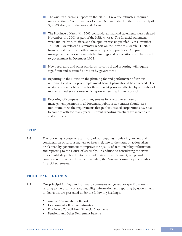- The Auditor General's Report on the 2003-04 revenue estimates, required under Section 9B of the Auditor General Act, was tabled in the House on April 3, 2003 along with the *Nova Scotia Budget*.
- The Province's March 31, 2003 consolidated financial statements were released November 13, 2003 as part of the *Public Accounts*. The financial statements were audited by our Office and the opinion was unqualified. On November 14, 2003, we released a summary report on the Province's March 31, 2003 financial statements and other financial reporting practices. A separate management letter on more detailed findings and observations is to be issued to government in December 2003.
- New regulatory and other standards for control and reporting will require significant and sustained attention by government.
- Reporting to the House on the planning for and performance of various retirement and other post-employment benefit plans should be enhanced. The related costs and obligations for these benefit plans are affected by a number of market and other risks over which government has limited control.
- **Reporting of compensation arrangements for executive and senior** management positions in all Provincial public sector entities should, as a minimum, meet the requirements that publicly-traded corporations have had to comply with for many years. Current reporting practices are incomplete and untimely.

## **SCOPE**

**2.6** The following represents a summary of our ongoing monitoring, review and consideration of various matters or issues relating to the status of action taken or planned by government to improve the quality of accountability information and reporting to the House of Assembly. In addition to considering the status of accountability-related initiatives undertaken by government, we provide commentary on selected matters, including the Province's summary consolidated financial statements.

#### **PRINCIPAL FINDINGS**

- **2.7** Our principal findings and summary comments on general or specific matters relating to the quality of accountability information and reporting by government to the House are presented under the following headings.
	- § Annual Accountability Report
	- § Government's Revenue Estimates
	- Province's Consolidated Financial Statements
	- § Pensions and Other Retirement Benefits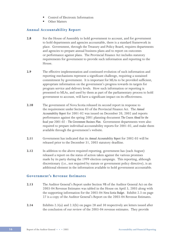- § Control of Electronic Information
- § Other Matters

# **Annual Accountability Report**

- **2.8** For the House of Assembly to hold government to account, and for government to hold departments and agencies accountable, there is a standard framework in place. Government, through the Treasury and Policy Board, requires departments and agencies to prepare annual business plans and to report on outcomes or performance against plans. The Provincial Finance Act includes statutory requirements for government to provide such information and reporting to the House.
- **2.9** The effective implementation and continued evolution of such information and reporting mechanisms represent a significant challenge, requiring a sustained commitment by government. It is important for MLAs to be provided sufficient, appropriate information on the government's progress towards its targets for program service and delivery levels. How such information or reporting is presented to MLAs, and used by them as part of the parliamentary process to hold government to account, will have a significant impact on its effectiveness.
- **2.10** The government of Nova Scotia released its second report in response to the requirement under Section 83 of the Provincial Finance Act. The *Annual Accountability Report* for 2001-02 was issued on December 20, 2002 and reports performance against the spring 2001 planning document *The Course Ahead for the fiscal year 2001-02 - The Government Business Plan*. Government departments were also required to prepare individual accountability reports for 2001-02, and make them available through the government's website.
- **2.11** Government has indicated that its *Annual Accountability Report* for 2002-03 will be released prior to the December 31, 2003 statutory deadline.
- **2.12** In addition to the above required reporting, government has (each August) released a report on the status of action taken against the various promises made by its party during the 1999 election campaign. This reporting, although discretionary (i.e., not required by statute or government policy directive), is an additional element in the information available to hold government accountable.

## **Government's Revenue Estimates**

- **2.13** The Auditor General's Report under Section 9B of the Auditor General Act on the 2003-04 Revenue Estimates was tabled in the House on April 3, 2003 along with the supporting information for the 2003-04 *Nova Scotia Budget*. Exhibit 2.3 on page 27 is a copy of the Auditor General's Report on the 2003-04 Revenue Estimates.
- **2.14** Exhibits 2.3(a) and 2.3(b) on pages 28 and 30 respectively are letters issued after the conclusion of our review of the 2003-04 revenue estimates. They provide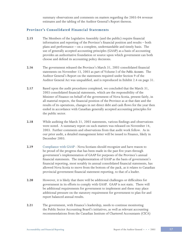summary observations and comments on matters regarding the 2003-04 revenue estimates and the tabling of the Auditor General's Report thereon.

# **Province's Consolidated Financial Statements**

- **2.15** The Members of the Legislative Assembly (and the public) require financial information and reporting of the Province's financial position and results – both plans and performance – on a complete, understandable and timely basis. The use of generally accepted accounting principles (GAAP) as a basis of accounting provides an authoritative foundation or source upon which government can both choose and defend its accounting policy decisions.
- **2.16** The government released the Province's March 31, 2003 consolidated financial statements on November 13, 2003 as part of Volume I of the *Public Accounts*. The Auditor General's Report on the statements required under Section 9 of the Auditor General Act was unqualified, and is reproduced in Exhibit 2.4 on page 31.
- **2.17** Based upon the audit procedures completed, we concluded that the March 31, 2003 consolidated financial statements, which are the responsibility of the Minister of Finance on behalf of the government of Nova Scotia, present fairly, in all material respects, the financial position of the Province as at that date and the results of its operations, changes in net direct debt and cash flows for the year then ended in accordance with Canadian generally accepted accounting principles for the public sector.
- **2.18** While auditing the March 31, 2003 statements, various findings and observations were noted. A summary report on such matters was released on November 14, 2003. Further comments and observations from that audit work follow. As in our prior audit, a detailed management letter will be issued to Finance, likely in December 2003.
- **2.19** Compliance with GAAP Nova Scotians should recognize and have reason to be proud of the progress that has been made in the past five years through government's implementation of GAAP for purposes of the Province's annual financial statements. The implementation of GAAP as the basis of government's financial reporting, most notably its annual consolidated financial statements, has allowed Nova Scotia to move from the bottom of the pack, as it relates to Canadian provincial government financial statement reporting, to that of a leader.
- **2.20** However, it is likely that there will be additional challenges or difficulties for government in its efforts to comply with GAAP. GAAP is not static. There will be additional requirements for government to implement and these may place additional pressure on the statutory requirement for government to plan for and report balanced annual results.
- **2.21** The government, with Finance's leadership, needs to continue monitoring the Public Sector Accounting Board's initiatives, as well as relevant accounting recommendations from the Canadian Institute of Chartered Accountants (CICA)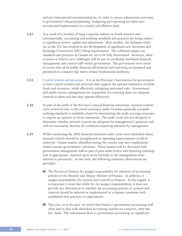and any international recommendations, in order to ensure adjustments necessary to government's financial planning, budgeting and reporting are taken into account and implemented on a timely and effective basis.

- **2.22** As a result of a number of large corporate failures in North America and internationally, accounting and auditing standards and practices are being subject to significant review, update and adjustment. Most notably, the Sarbanes-Oxley Act in the U.S. has resulted in the development of significant new Securities and Exchange Commission (SEC) filing requirements. The collateral impacts on standards and practices in Canada are yet to be fully determined. However, there is reason to believe new challenges will be put on an already-burdened financial management and control staff within government. The government now needs to ensure that all its public financial information and reporting are prepared and presented in a manner that meets certain fundamental attributes.
- **2.23** Control systems and processes It is in the Province's best interest for government to have control systems and processes that support the optimal utilization of public funds and resources, while effectively mitigating associated risks. Government and public service management are responsible for ensuring there are adequate controls in place and that they operate effectively.
- **2.24** As part of the audit of the Province's annual financial statements, internal controls were reviewed only to the extent necessary under Canadian generally accepted auditing standards to establish a basis for determining the audit coverage necessary to express an opinion on those statements. The audit work was not designed to determine whether internal controls are adequate for management's purposes and will not necessarily disclose all conditions requiring attention by management.
- **2.25** While conducting the 2003 financial statement audit, areas were identified where internal controls should be strengthened or operating improvements could be achieved. Certain matters identified during the current year have implications which warrant government's attention. These matters will be discussed with government management staff as part of post-audit review and reporting meetings and, if appropriate, reported upon more formally in the management letter referred to previously. At this time, the following summary observations are provided.
	- The Provincial Finance Act assigns responsibility for selection of accounting policies to the Minister and Deputy Minister of Finance. In addition, it assigns responsibility for systems and controls to Finance. In this regard, it is important to note that while the Act assigns responsibilities, it does not provide any direction as to whether the accounting policies or systems and controls should be selected or implemented in a manner consistent with established best practices or expectations.

**This year, as in the past, we noted that Finance's government accounting staff** often had to deal with identified accounting matters on a reactive, after-thefact, basis. The information flow to government accounting on significant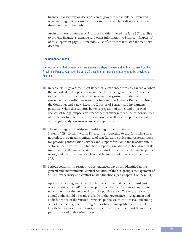financial transactions or decisions across government should be improved so accounting policy considerations can be effectively dealt with on a more timely and proactive basis.

Again this year, a number of Provincial entities missed the June  $30<sup>th</sup>$  deadline to provide financial statements and other information to Finance. Chapter 15 of this Report on page 235 includes a list of entities that missed the statutory deadline.

#### **Recommendation 2.1**

We recommend that government take necessary steps to ensure all entities covered by the Provincial Finance Act meet the June 30 deadline for financial statements to be provided to Finance.

- In early 2003, government lost its senior, experienced treasury executive when the individual took a position in another Provincial government. Subsequent to that individual's departure, Finance was reorganized and the senior executive's responsibilities were split between the Assistant Deputy Minister, the Controller and a new Executive Director of Pension and Investments position. While this supports better segregation of duties and improved analysis of budget impacts by Finance senior management, the responsibilities of the senior treasury executive have now been allocated to public servants with significantly less treasury-related experience.
- The reporting relationship and positioning of the Corporate Information Systems (CIS) division within Finance (i.e., reporting to the Controller) does not reflect the current significance of that function's roles and responsibilities for providing information services and support for SAP to the broader public sector in the Province. The function's reporting relationship should reflect its importance to the overall systems and control of the broader Provincial public sector, and the government's plans and intentions with respect to the role of SAP.

Serious concerns, in relation to best practices, have been identified in the general and environmental control activities of the CIS group's management of SAP central security and control-related functions (see Chapter 3 on page 34).

Appropriate arrangements need to be made for an independent third party service audit of the SAP functions, performed by the CIS division and central government, for the broader Provincial public sector. The results of such an annual audit should be made available to the governance, management and audit functions of the various Provincial public sector entities (i.e., including school boards, Regional Housing Authorities, municipalities and District Health Authorities in the future), in order to adequately support them in the performance of their various roles.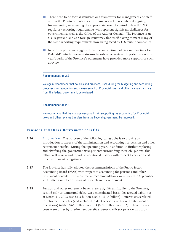- **There need to be formal standards or a framework for management and staff** within the Provincial public sector to use as a reference when designing, implementing or assessing the appropriate level of control. New U.S. SEC regulatory reporting requirements will represent significant challenges for government as well as the Office of the Auditor General. The Province is an SEC registrant, and as a foreign issuer may find itself having to meet many of the same reporting requirements now being faced by U.S. public companies.
- In prior Reports, we suggested that the accounting policies and practices for Federal-Provincial revenue streams be subject to review. Experiences on this year's audit of the Province's statements have provided more support for such a review.

#### **Recommendation 2.2**

We again recommend that policies and practices, used during the budgeting and accounting processes for recognition and measurement of Provincial taxes and other revenue transfers from the Federal government, be reviewed.

#### **Recommendation 2.3**

We recommend that the management/audit trail, supporting the accounting for Provincial taxes and other revenue transfers from the Federal government, be improved.

## **Pensions and Other Retirement Benefits**

- **2.26** Introduction The purpose of the following paragraphs is to provide an introduction to aspects of the administration and accounting for pension and other retirement benefits. During the upcoming year, in addition to further exploring and clarifying the governance arrangements surrounding these obligations, this Office will review and report on additional matters with respect to pension and other retirement obligations.
- **2.27** The Province has fully adopted the recommendations of the Public Sector Accounting Board (PSAB) with respect to accounting for pensions and other retirement benefits. The most recent recommendations were issued in September 2001 after a number of years of research and development.
- **2.28** Pension and other retirement benefits are a significant liability to the Province, second only to unmatured debt. On a consolidated basis, the accrued liability as at March 31, 2003 was \$1.3 billion (2002 - \$1.5 billion). Interest costs related to retirement benefits (and included in debt servicing costs on the statement of operations) totaled \$65 million in 2003 (\$78 million in 2002). These interest costs were offset by a retirement benefit expense credit (or pension valuation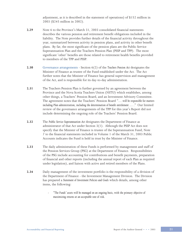adjustment, as it is described in the statement of operations) of \$152 million in 2003 (\$245 million in 2002).

- **2.29** Note 6 to the Province's March 31, 2003 consolidated financial statements describes the various pension and retirement benefit obligations included in the liability. The Note provides further details of the financial activity throughout the year, summarized between activity in pension plans, and activity in other benefit plans. By far, the most significant of the pension plans are the Public Service Superannuation Plan and the Teachers Pension Plan (PSSP and TPP). The most significant 'other' benefits are those related to retirement health benefits provided to members of the TPP and PSSP.
- **2.30** Governance arrangements Section 6(2) of the *Teachers Pension Act* designates the Minister of Finance as trustee of the Fund established under the Act. The Act further notes that the Minister of Finance has general supervision and management of the Act, and is responsible for its day-to-day administration.
- **2.31** The Teachers Pension Plan is further governed by an agreement between the Province and the Nova Scotia Teachers Union (NSTU) which establishes, among other things, a Teachers' Pension Board, and an Investment Advisory Committee. The agreement notes that the Teachers' Pension Board "… *will be responsible for matters including Plan administration, including the determination of benefit entitlement … ."* Our limited review of the governance arrangements of the TPP for this year's Report did not include determining the ongoing role of the Teachers' Pension Board.
- **2.32** The *Public Service Superannuation Act* designates the Department of Finance as administrator of that Act under Section 3(1). Although the PSSP Act does not specify that the Minister of Finance is trustee of the Superannuation Fund, Note 7 to the financial statements included in Volume 1 of the March 31, 2003 Public Accounts indicates the Fund is held in trust by the Minister of Finance.
- **2.33** The daily administration of these Funds is performed by management and staff of the Pension Services Group (PSG) at the Department of Finance. Responsibilities of the PSG include accounting for contributions and benefit payments, preparation of financial and other reports (including the annual report of each Plan as required under legislation), and liaison with active and retired members of the Plans.
- **2.34** Daily management of the investment portfolio is the responsibility of a division of the Department of Finance - the Investment Management Division. The Division has prepared a *Statement of Investment Policies and Goals* which details, among other items, the following:
	- *"The Funds' assets will be managed on an ongoing basis, with the primary objective of maximizing returns at an acceptable rate of risk.*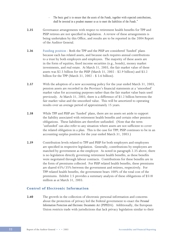- The basic goal is to ensure that the assets of the Funds, together with expected contributions, *shall be invested in a prudent manner so as to meet the liabilities of the Funds."*
- **2.35** Governance arrangements with respect to retirement health benefits for TPP and PSSP retirees are not specified in legislation. A review of these arrangements is being undertaken by this Office, and results are to be reported in the 2004 Report of the Auditor General.
- **2.36** Funding position Both the TPP and the PSSP are considered 'funded' plans because each has related assets, and because each requires annual contributions to a trust by both employers and employees. The majority of these assets are in the form of equities, fixed income securities (e.g., bonds), money market investments, and real estate. At March 31, 2003, the fair market value of these assets was \$2.5 billion for the PSSP (March 31, 2002 - \$2.9 billion) and \$3.2 billion for the TPP (March 31, 2002 - \$ 3.6 billion).
- **2.37** With the adoption of a new accounting policy for the year ended March 31, 2003, pension assets are recorded in the Province's financial statements at a 'smoothed' market value for accounting purposes rather than the fair market value basis used previously. At March 31, 2003, there is a difference of \$1.2 billion between the fair market value and the smoothed value. This will be amortized to operating results over an average period of approximately 15 years.
- **2.38** While TPP and PSSP are 'funded' plans, there are no assets set aside to support the liability associated with retirement health benefits and certain other pension obligations. These liabilities are therefore unfunded. (Note that the term 'unfunded' can also refer to any situation where assets are not sufficient to cover the related obligation in a plan. This is the case for TPP; PSSP continues to be in an accounting surplus position for the year ended March 31, 2003.)
- **2.39** Contribution levels related to TPP and PSSP for both employers and employees are specified in respective legislation. Generally, contributions by employees are matched by government as the employer. As noted in paragraph 2.35 above, there is no legislation directly governing retirement health benefits, as these benefits were negotiated through labour contracts. Contributions for these benefits are in the form of premiums collected. For PSSP related health benefits, these premiums are shared 65%/35% between the government and retirees, respectively. For TPP related health benefits, the government bears 100% of the total cost of the premiums. Exhibit 2.5 provides a summary analysis of these obligations of \$518 million as at March 31, 2003.

# **Control of Electronic Information**

**2.40** The growth in the collection of electronic personal information and concerns about the protection of privacy led the Federal government to enact the *Personal Information Protection and Electronic Documents Act* (PIPEDA). Additionally, the European Union restricts trade with jurisdictions that lack privacy legislation similar to their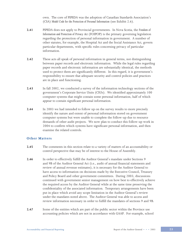own. The core of PIPEDA was the adoption of Canadian Standards Association's (CSA) *Model Code for the Protection of Personal Information* (see Exhibit 2.6).

- **2.41** PIPEDA does not apply to Provincial governments. In Nova Scotia, the *Freedom of Information and Protection of Privacy Act* (FOIPOP) is the primary governing legislation regarding the protection of personal information in government. A number of other statutes, for example, the Hospital Ac*t* and the Social Assistance Act, govern particular departments, with specific rules concerning privacy of particular information.
- **2.42** These acts all speak of personal information in general terms, not distinguishing between paper records and electronic information. While the legal rules regarding paper records and electronic information are substantially identical, the methods used to protect them are significantly different. In this regard, it is government's responsibility to ensure that adequate security and control policies and practices are in place and functioning.
- **2.43** In fall 2002, we conducted a survey of the information technology sections of the government's Corporate Service Units (CSUs). We identified approximately 100 computer systems that might contain some personal information, half of which appear to contain significant personal information.
- **2.44** In 2003 we had intended to follow up on the survey results to more precisely identify the nature and extent of personal information stored on government computer systems but were unable to complete the follow-up due to resource demands of other audit projects. We now plan to conduct this follow-up work in 2004 to confirm which systems have significant personal information, and then examine the related controls.

## **Other Matters**

- **2.45** The comments in this section relate to a variety of matters of an accountability or control perspective that may be of interest to the House of Assembly.
- **2.46** In order to effectively fulfill the Auditor General's mandate under Sections 9 and 9B of the Auditor General Act (i.e., audit of annual financial statements and review of annual revenue estimates), it is necessary for the Auditor General to have access to information on decisions made by the Executive Council, Treasury and Policy Board and other government committees. During 2003, discussions continued with government senior management on how best to effectively achieve the required access by the Auditor General while at the same time preserving the confidentiality of the associated information. Temporary arrangements have been put in place which avoid any scope limitation in the Auditor General's review under the mandates noted above. The Auditor General was able to access and review information necessary in order to fulfill the mandates of sections 9 and 9B.
- **2.47** Some of the entities which are part of the public sector within the Province use accounting policies which are not in accordance with GAAP. For example, school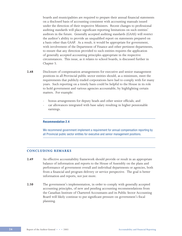boards and municipalities are required to prepare their annual financial statements on a disclosed basis of accounting consistent with accounting manuals issued under the direction of their respective Ministers. Recent changes to professional auditing standards will place significant reporting limitations on such entities' auditors in the future. Generally accepted auditing standards (GAAS) will restrict the auditor's ability to provide an unqualified report on statements prepared on a basis other than GAAP. As a result, it would be appropriate for government, with involvement of the Department of Finance and other pertinent departments, to ensure that any direction provided to such entities requires the application of generally accepted accounting principles appropriate in the respective circumstances. This issue, as it relates to school boards, is discussed further in Chapter 5.

- **2.48** Disclosure of compensation arrangements for executive and senior management positions in all Provincial public sector entities should, as a minimum, meet the requirements that publicly-traded corporations have had to comply with for many years. Such reporting on a timely basis could be helpful to the House in its role to hold government and various agencies accountable, by highlighting certain matters. For example:
	- bonus arrangements for deputy heads and other senior officials; and
	- car allowances integrated with base salary resulting in higher pensionable earnings.

#### **Recommendation 2.4**

We recommend government implement a requirement for annual compensation reporting by all Provincial public sector entities for executive and senior management positions.

# **CONCLUDING REMARKS**

- **2.49** An effective accountability framework should provide or result in an appropriate balance of information and reports to the House of Assembly on the plans and performance of government overall and individual departments or agencies, both from a financial and program delivery or service perspective. The goal is better information and reports, not just more.
- **2.50** The government's implementation, in order to comply with generally accepted accounting principles, of new and pending accounting recommendations from the Canadian Institute of Chartered Accountants and its Public Sector Accounting Board will likely continue to put significant pressure on government's fiscal planning.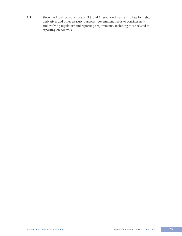**2.51** Since the Province makes use of U.S. and International capital markets for debt, derivatives and other treasury purposes, government needs to consider new and evolving regulatory and reporting requirements, including those related to reporting on controls.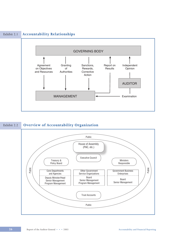

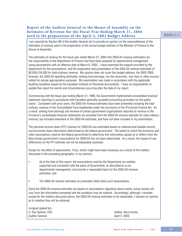# **Report of the Auditor General to the House of Assembly on the Estimates of Revenue for the Fiscal Year Ending March 31, 2004 used in the preparation of the April 3, 2003 Budget Address** Exhibit 2.3

I am required by Section 9B of the Auditor General Act to provide an opinion on the reasonableness of the estimates of revenue used in the preparation of the annual budget address of the Minister of Finance to the House of Assembly.

The estimates of revenue for the fiscal year ended March 31, 2004 (the 2003-04 revenue estimates) are the responsibility of the Department of Finance and have been prepared by departmental management using assumptions with an effective date of March 6, 2003. I have examined the support provided by the department for the assumptions, and the preparation and presentation of the 2003-04 revenue estimates of \$5,628,516,000 for total ordinary revenue. My opinion does not cover the budget address, the 2002-2003 forecast, the 2003-04 spending estimates, sinking fund earnings, nor the recoveries, user fees or other income netted for annual appropriation purposes. My examination was made in accordance with the applicable Auditing Guideline issued by the Canadian Institute of Chartered Accountants. I have no responsibility to update this report for events and circumstances occurring after the date of my report.

Commencing with the fiscal year ending March 31, 1999, the Government implemented consolidated financial statement reporting in accordance with Canadian generally accepted accounting principles for the public sector. Consistent with prior years, the 2003-04 revenue estimates have been presented including the total ordinary revenue of the Consolidated Fund established under the provisions of the Provincial Finance Act. As a result, sinking fund earnings and revenue of certain government organizations reported as revenue in the Province's consolidated financial statements are excluded from the 2003-04 revenue estimate for total ordinary revenue, but included elsewhere in the 2003-04 estimates, and have not been included in my examination.

The personal income taxes (PIT) revenue for 2003-04 was estimated based on national level taxable income and provincial share information determined by the federal government. The extent to which the economic and other assumptions used by the federal government to determine this information agrees to or differs from the Nova Scotia government's assumptions for 2003-04 has not been determined. As a result, the impact of any differences on the PIT estimate can not be adequately assessed.

Except for the effect of adjustments, if any, which might have been necessary as a result of the matters discussed in the preceding paragraphs, in my opinion,

- As at the date of this report, the assumptions used by the Department are suitably supported and consistent with the plans of Government, as described to us by departmental management, and provide a reasonable basis for the 2003-04 revenue estimates; and
- The 2003-04 revenue estimates as presented reflect fairly such assumptions.

Since the 2003-04 revenue estimates are based on assumptions regarding future events, actual results will vary from the information presented and the variations may be material. Accordingly, although I consider, except for the matters discussed above, the 2003-04 revenue estimates to be reasonable, I express no opinion as to whether they will be achieved.

(original signed by) E. Roy Salmon, FCA **Halifax**, Nova Scotia Auditor General **Auditor** General April 2, 2003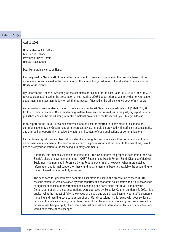| Exhibit $2.3(a)$ |                                                                                                                                                                                                                                                                                                                                                                                                                                                                                                                                                                                                                                                                                                                                                                                                                                                                              |
|------------------|------------------------------------------------------------------------------------------------------------------------------------------------------------------------------------------------------------------------------------------------------------------------------------------------------------------------------------------------------------------------------------------------------------------------------------------------------------------------------------------------------------------------------------------------------------------------------------------------------------------------------------------------------------------------------------------------------------------------------------------------------------------------------------------------------------------------------------------------------------------------------|
|                  | April 2, 2003                                                                                                                                                                                                                                                                                                                                                                                                                                                                                                                                                                                                                                                                                                                                                                                                                                                                |
|                  | Honourable Neil J. LeBlanc<br>Minister of Finance<br>Province of Nova Scotia<br>Halifax, Nova Scotia                                                                                                                                                                                                                                                                                                                                                                                                                                                                                                                                                                                                                                                                                                                                                                         |
|                  | Dear Honourable Neil J. LeBlanc:                                                                                                                                                                                                                                                                                                                                                                                                                                                                                                                                                                                                                                                                                                                                                                                                                                             |
|                  | I am required by Section 9B of the Auditor General Act to provide an opinion on the reasonableness of the<br>estimates of revenue used in the preparation of the annual budget address of the Minister of Finance to the<br>House of Assembly.                                                                                                                                                                                                                                                                                                                                                                                                                                                                                                                                                                                                                               |
|                  | My report to the House of Assembly on the estimates of revenue for the fiscal year 2003-04 (i.e., the 2003-04<br>revenue estimates) used in the preparation of your April 3, 2003 budget address was provided to your senior<br>departmental management today for printing purposes. Attached is the official signed copy of my report.                                                                                                                                                                                                                                                                                                                                                                                                                                                                                                                                      |
|                  | As per earlier correspondence, my report relates only to the 2003-04 revenue estimates of \$5,628,516,000<br>for total ordinary revenue. Once outstanding matters have been addressed, as in the past, my report is to be<br>published and can be tabled along with other material provided to the House with your budget address.                                                                                                                                                                                                                                                                                                                                                                                                                                                                                                                                           |
|                  | If my report on the 2003-04 revenue estimates is to be used or referred to in any other publications or<br>communications by the Government or its representatives, I should be provided with sufficient advance notice<br>and afforded an opportunity to review the nature and content of such publications or communications.                                                                                                                                                                                                                                                                                                                                                                                                                                                                                                                                              |
|                  | Further to my report, various observations identified during this year's review will be communicated to your<br>departmental management in the near future as part of a post-assignment process. In the meantime, I would<br>like to draw your attention to the following summary comments.                                                                                                                                                                                                                                                                                                                                                                                                                                                                                                                                                                                  |
|                  | Summary information available at the time of our review supports the proposed accounting for Nova<br>Scotia's share of new federal funding - CHST Supplement, Health Reform Fund, Diagnostic/Medical<br>Equipment - announced in February by the Federal government. However, when more detailed<br>information and formal support for these funding arrangements becomes available the accounting for<br>them will need to be more fully assessed.                                                                                                                                                                                                                                                                                                                                                                                                                          |
|                  | The base case for government's economic assumptions used in the preparation of the 2003-04<br>revenue estimates was developed by your department's economic policy staff without full knowledge<br>of significant aspects of government's tax, spending and fiscal plans for 2003-04 and beyond.<br>Certain, but not all, of these assumptions were approved by Executive Council on March 6, 2003. It is<br>unclear what the impact of fuller knowledge of these plans would have been on your staff's economic<br>modeling and resulting base case assumptions. Our discussions in this regard with your senior staff<br>indicated that while including these plans more fully in the economic modeling may have resulted in<br>higher values being output, other (some external national and international) factors or considerations<br>would have offset those changes. |
|                  |                                                                                                                                                                                                                                                                                                                                                                                                                                                                                                                                                                                                                                                                                                                                                                                                                                                                              |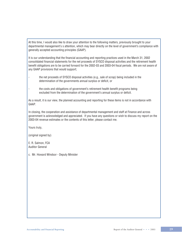At this time, I would also like to draw your attention to the following matters, previously brought to your departmental management's s attention, which may bear directly on the level of government's compliance with generally accepted accounting principles (GAAP).

It is our understanding that the financial accounting and reporting practices used in the March 31, 2002 consolidated financial statements for the net proceeds of SYSCO disposal activities and the retirement health benefit obligations are to be carried forward for the 2002-03 and 2003-04 fiscal periods. We are not aware of any GAAP provisions that would support;

- the net proceeds of SYSCO disposal activities (e.g., sale of scrap) being included in the determination of the governments annual surplus or deficit, or
- the costs and obligations of government's retirement health benefit programs being excluded from the determination of the government's annual surplus or deficit.

As a result, it is our view, the planned accounting and reporting for these items is not in accordance with GAAP.

In closing, the cooperation and assistance of departmental management and staff at Finance and across government is acknowledged and appreciated. If you have any questions or wish to discuss my report on the 2003-04 revenue estimates or the contents of this letter, please contact me.

Yours truly,

(original signed by)

E. R. Salmon, FCA Auditor General

c. Mr. Howard Windsor - Deputy Minister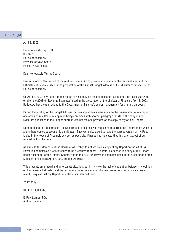| Exhibit $2.3(b)$ |                                                                                                                                                                                                                                                                                                                                                                                        |
|------------------|----------------------------------------------------------------------------------------------------------------------------------------------------------------------------------------------------------------------------------------------------------------------------------------------------------------------------------------------------------------------------------------|
|                  | April 8, 2003                                                                                                                                                                                                                                                                                                                                                                          |
|                  | Honourable Murray Scott<br>Speaker<br>House of Assembly<br>Province of Nova Scotia<br>Halifax, Nova Scotia                                                                                                                                                                                                                                                                             |
|                  | Dear Honourable Murray Scott:                                                                                                                                                                                                                                                                                                                                                          |
|                  | I am required by Section 9B of the Auditor General Act to provide an opinion on the reasonableness of the<br>Estimates of Revenue used in the preparation of the Annual Budget Address of the Minister of Finance to the<br>House of Assembly.                                                                                                                                         |
|                  | On April 2, 2003, my Report to the House of Assembly on the Estimates of Revenue for the fiscal year 2003-<br>04 (i.e., the 2003-04 Revenue Estimates) used in the preparation of the Minister of Finance's April 3, 2003<br>Budget Address was provided to the Department of Finance's senior management for printing purposes.                                                       |
|                  | During the printing of the Budget Address, certain adjustments were made to the presentation of my report,<br>one of which resulted in my opinion being combined with another paragraph. Further, the copy of my<br>signature published in the Budget Address was not the one provided on the copy of my official Report.                                                              |
|                  | Upon noticing the adjustments, the Department of Finance was requested to correct the Report on its website<br>and in hard copies subsequently distributed. They were also asked to have the correct version of my Report<br>tabled in the House of Assembly as soon as possible. Finance has indicated that this latter aspect of our<br>request will not be done.                    |
|                  | As a result, the Members of the House of Assembly do not yet have a copy of my Report on the 2003-04<br>Revenue Estimates as it was intended to be presented to them. Therefore, attached is a copy of my Report<br>under Section 9B of the Auditor General Act on the 2003-04 Revenue Estimates used in the preparation of the<br>Minister of Finance's April 3, 2003 Budget Address. |
|                  | This presents an unusual and unfortunate situation, but in my view the lack of separation between my opinion<br>on the Revenue Estimates and the rest of my Report is a matter of some professional significance. As a<br>result, I request that my Report be tabled in its intended form.                                                                                             |
|                  | Yours truly,                                                                                                                                                                                                                                                                                                                                                                           |
|                  | (original signed by)                                                                                                                                                                                                                                                                                                                                                                   |
|                  | E. Roy Salmon, FCA<br><b>Auditor General</b>                                                                                                                                                                                                                                                                                                                                           |

Report of the Auditor General • • • 2003 **Accountability and Financial Reporting** Report of the Auditor General • • • 2003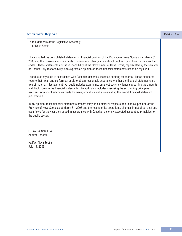# **Auditor's Report** Exhibit 2.4

To the Members of the Legislative Assembly of Nova Scotia

I have audited the consolidated statement of financial position of the Province of Nova Scotia as at March 31, 2003 and the consolidated statements of operations, change in net direct debt and cash flow for the year then ended. These statements are the responsibility of the Government of Nova Scotia, represented by the Minister of Finance. My responsibility is to express an opinion on these financial statements based on my audit.

I conducted my audit in accordance with Canadian generally accepted auditing standards. Those standards require that I plan and perform an audit to obtain reasonable assurance whether the financial statements are free of material misstatement. An audit includes examining, on a test basis, evidence supporting the amounts and disclosures in the financial statements. An audit also includes assessing the accounting principles used and significant estimates made by management, as well as evaluating the overall financial statement presentation.

In my opinion, these financial statements present fairly, in all material respects, the financial position of the Province of Nova Scotia as at March 31, 2003 and the results of its operations, changes in net direct debt and cash flows for the year then ended in accordance with Canadian generally accepted accounting principles for the public sector.

E. Roy Salmon, FCA Auditor General

Halifax, Nova Scotia July 15, 2003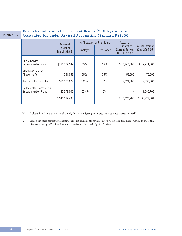# **Estimated Additional Retirement Benefit**<sup>(1)</sup> Obligations to be Exhibit 2.5 **Accounted for under Revised Accounting Standard PS3250**

|  |                                                                | Actuarial                        | % Allocation of Premiums |           | Actuarial                                              |                                        |
|--|----------------------------------------------------------------|----------------------------------|--------------------------|-----------|--------------------------------------------------------|----------------------------------------|
|  |                                                                | Obligation<br><b>March 31/03</b> | Employer                 | Pensioner | Estimates of<br><b>Current Service</b><br>Cost 2002-03 | <b>Actual Interest</b><br>Cost 2002-03 |
|  | <b>Public Service</b><br><b>Superannuation Plan</b>            | \$170,177,549                    | 65%                      | 35%       | \$<br>5,240,000                                        | \$<br>9,911,000                        |
|  | Members' Retiring<br>Allowance Act                             | 1,091,052                        | 65%                      | 35%       | 59,200                                                 | 70,095                                 |
|  | Teachers' Pension Plan                                         | 326,375,829                      | 100%                     | $0\%$     | 9,821,000                                              | 19,890,000                             |
|  | <b>Sydney Steel Corporation</b><br><b>Superannuation Plans</b> | 20,373,000<br>\$518,017,430      | $100\%^{(2)}$            | $0\%$     | 15,120,200<br>S.                                       | 1,056,706<br>\$30,927,801              |
|  |                                                                |                                  |                          |           |                                                        |                                        |

- *(1) Includes health and dental benefits and, for certain Sysco pensioners, life insurance coverage as well.*
- *(2) Sysco pensioners contribute a nominal amount each month toward their prescription drug plan. Coverage under this plan ceases at age 65. Life insurance benefits are fully paid by the Province.*